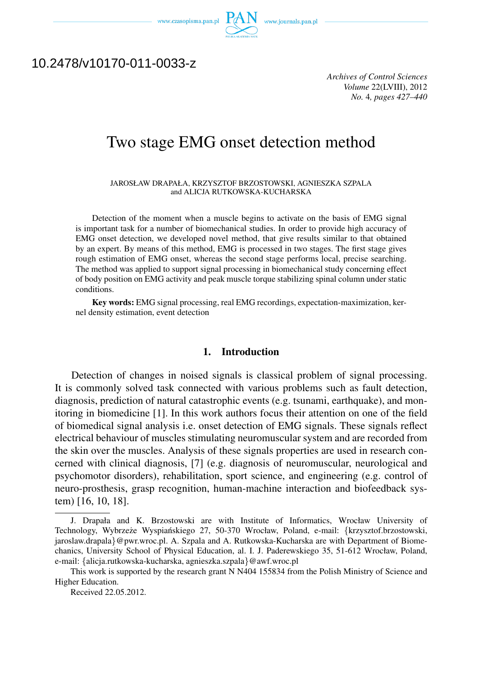www.czasopisma.pan.pl  $P_{\mathcal{Q}}$ 



# 10.2478/v10170-011-0033-z

*Archives of Control Sciences Volume* 22(LVIII), 2012 *No.* 4*, pages 427–440*

# Two stage EMG onset detection method

JAROSŁAW DRAPAŁA, KRZYSZTOF BRZOSTOWSKI, AGNIESZKA SZPALA and ALICJA RUTKOWSKA-KUCHARSKA

Detection of the moment when a muscle begins to activate on the basis of EMG signal is important task for a number of biomechanical studies. In order to provide high accuracy of EMG onset detection, we developed novel method, that give results similar to that obtained by an expert. By means of this method, EMG is processed in two stages. The first stage gives rough estimation of EMG onset, whereas the second stage performs local, precise searching. The method was applied to support signal processing in biomechanical study concerning effect of body position on EMG activity and peak muscle torque stabilizing spinal column under static conditions.

Key words: EMG signal processing, real EMG recordings, expectation-maximization, kernel density estimation, event detection

## 1. Introduction

Detection of changes in noised signals is classical problem of signal processing. It is commonly solved task connected with various problems such as fault detection, diagnosis, prediction of natural catastrophic events (e.g. tsunami, earthquake), and monitoring in biomedicine [1]. In this work authors focus their attention on one of the field of biomedical signal analysis i.e. onset detection of EMG signals. These signals reflect electrical behaviour of muscles stimulating neuromuscular system and are recorded from the skin over the muscles. Analysis of these signals properties are used in research concerned with clinical diagnosis, [7] (e.g. diagnosis of neuromuscular, neurological and psychomotor disorders), rehabilitation, sport science, and engineering (e.g. control of neuro-prosthesis, grasp recognition, human-machine interaction and biofeedback system) [16, 10, 18].

J. Drapała and K. Brzostowski are with Institute of Informatics, Wrocław University of Technology, Wybrzeze Wyspiańskiego 27, 50-370 Wrocław, Poland, e-mail: {krzysztof.brzostowski, jaroslaw.drapala*}*@pwr.wroc.pl. A. Szpala and A. Rutkowska-Kucharska are with Department of Biomechanics, University School of Physical Education, al. I. J. Paderewskiego 35, 51-612 Wrocław, Poland, e-mail: *{*alicja.rutkowska-kucharska, agnieszka.szpala*}*@awf.wroc.pl

This work is supported by the research grant N N404 155834 from the Polish Ministry of Science and Higher Education.

Received 22.05.2012.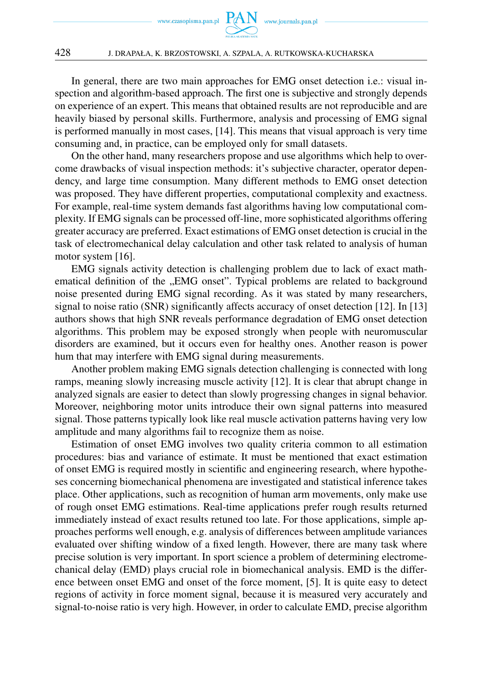

In general, there are two main approaches for EMG onset detection i.e.: visual inspection and algorithm-based approach. The first one is subjective and strongly depends on experience of an expert. This means that obtained results are not reproducible and are heavily biased by personal skills. Furthermore, analysis and processing of EMG signal is performed manually in most cases, [14]. This means that visual approach is very time consuming and, in practice, can be employed only for small datasets.

On the other hand, many researchers propose and use algorithms which help to overcome drawbacks of visual inspection methods: it's subjective character, operator dependency, and large time consumption. Many different methods to EMG onset detection was proposed. They have different properties, computational complexity and exactness. For example, real-time system demands fast algorithms having low computational complexity. If EMG signals can be processed off-line, more sophisticated algorithms offering greater accuracy are preferred. Exact estimations of EMG onset detection is crucial in the task of electromechanical delay calculation and other task related to analysis of human motor system [16].

EMG signals activity detection is challenging problem due to lack of exact mathematical definition of the "EMG onset". Typical problems are related to background noise presented during EMG signal recording. As it was stated by many researchers, signal to noise ratio (SNR) significantly affects accuracy of onset detection [12]. In [13] authors shows that high SNR reveals performance degradation of EMG onset detection algorithms. This problem may be exposed strongly when people with neuromuscular disorders are examined, but it occurs even for healthy ones. Another reason is power hum that may interfere with EMG signal during measurements.

Another problem making EMG signals detection challenging is connected with long ramps, meaning slowly increasing muscle activity [12]. It is clear that abrupt change in analyzed signals are easier to detect than slowly progressing changes in signal behavior. Moreover, neighboring motor units introduce their own signal patterns into measured signal. Those patterns typically look like real muscle activation patterns having very low amplitude and many algorithms fail to recognize them as noise.

Estimation of onset EMG involves two quality criteria common to all estimation procedures: bias and variance of estimate. It must be mentioned that exact estimation of onset EMG is required mostly in scientific and engineering research, where hypotheses concerning biomechanical phenomena are investigated and statistical inference takes place. Other applications, such as recognition of human arm movements, only make use of rough onset EMG estimations. Real-time applications prefer rough results returned immediately instead of exact results retuned too late. For those applications, simple approaches performs well enough, e.g. analysis of differences between amplitude variances evaluated over shifting window of a fixed length. However, there are many task where precise solution is very important. In sport science a problem of determining electromechanical delay (EMD) plays crucial role in biomechanical analysis. EMD is the difference between onset EMG and onset of the force moment, [5]. It is quite easy to detect regions of activity in force moment signal, because it is measured very accurately and signal-to-noise ratio is very high. However, in order to calculate EMD, precise algorithm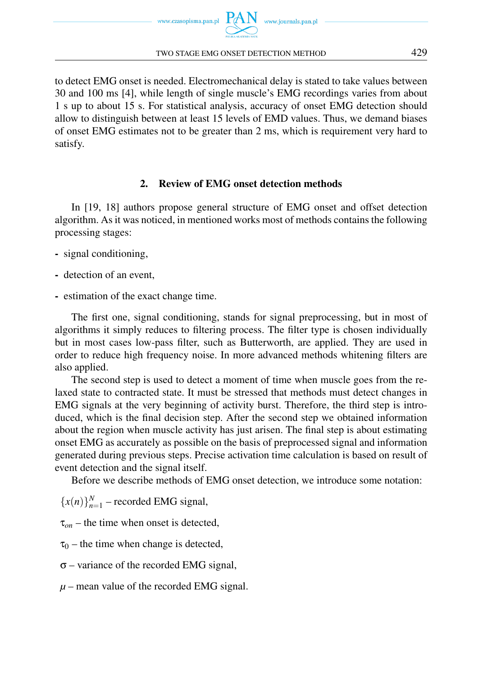

#### TWO STAGE EMG ONSET DETECTION METHOD 429

to detect EMG onset is needed. Electromechanical delay is stated to take values between 30 and 100 ms [4], while length of single muscle's EMG recordings varies from about 1 s up to about 15 s. For statistical analysis, accuracy of onset EMG detection should allow to distinguish between at least 15 levels of EMD values. Thus, we demand biases of onset EMG estimates not to be greater than 2 ms, which is requirement very hard to satisfy.

# 2. Review of EMG onset detection methods

In [19, 18] authors propose general structure of EMG onset and offset detection algorithm. As it was noticed, in mentioned works most of methods contains the following processing stages:

- signal conditioning,
- detection of an event,
- estimation of the exact change time.

The first one, signal conditioning, stands for signal preprocessing, but in most of algorithms it simply reduces to filtering process. The filter type is chosen individually but in most cases low-pass filter, such as Butterworth, are applied. They are used in order to reduce high frequency noise. In more advanced methods whitening filters are also applied.

The second step is used to detect a moment of time when muscle goes from the relaxed state to contracted state. It must be stressed that methods must detect changes in EMG signals at the very beginning of activity burst. Therefore, the third step is introduced, which is the final decision step. After the second step we obtained information about the region when muscle activity has just arisen. The final step is about estimating onset EMG as accurately as possible on the basis of preprocessed signal and information generated during previous steps. Precise activation time calculation is based on result of event detection and the signal itself.

Before we describe methods of EMG onset detection, we introduce some notation:

 ${x(n)}_{n=1}^N$  – recorded EMG signal,

 $\tau_{on}$  – the time when onset is detected,

- $\tau_0$  the time when change is detected,
- σ variance of the recorded EMG signal,
- $\mu$  mean value of the recorded EMG signal.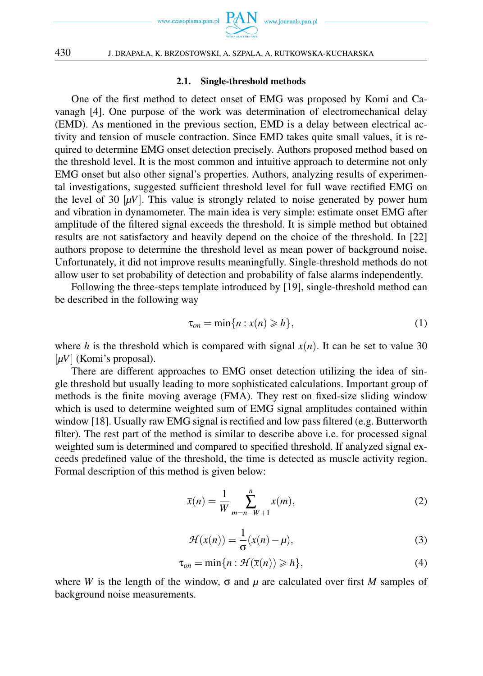

### 2.1. Single-threshold methods

One of the first method to detect onset of EMG was proposed by Komi and Cavanagh [4]. One purpose of the work was determination of electromechanical delay (EMD). As mentioned in the previous section, EMD is a delay between electrical activity and tension of muscle contraction. Since EMD takes quite small values, it is required to determine EMG onset detection precisely. Authors proposed method based on the threshold level. It is the most common and intuitive approach to determine not only EMG onset but also other signal's properties. Authors, analyzing results of experimental investigations, suggested sufficient threshold level for full wave rectified EMG on the level of 30  $[\mu V]$ . This value is strongly related to noise generated by power hum and vibration in dynamometer. The main idea is very simple: estimate onset EMG after amplitude of the filtered signal exceeds the threshold. It is simple method but obtained results are not satisfactory and heavily depend on the choice of the threshold. In [22] authors propose to determine the threshold level as mean power of background noise. Unfortunately, it did not improve results meaningfully. Single-threshold methods do not allow user to set probability of detection and probability of false alarms independently.

Following the three-steps template introduced by [19], single-threshold method can be described in the following way

$$
\tau_{on} = \min\{n : x(n) \geqslant h\},\tag{1}
$$

where *h* is the threshold which is compared with signal  $x(n)$ . It can be set to value 30 [ $\mu$ V] (Komi's proposal).

There are different approaches to EMG onset detection utilizing the idea of single threshold but usually leading to more sophisticated calculations. Important group of methods is the finite moving average (FMA). They rest on fixed-size sliding window which is used to determine weighted sum of EMG signal amplitudes contained within window [18]. Usually raw EMG signal is rectified and low pass filtered (e.g. Butterworth filter). The rest part of the method is similar to describe above i.e. for processed signal weighted sum is determined and compared to specified threshold. If analyzed signal exceeds predefined value of the threshold, the time is detected as muscle activity region. Formal description of this method is given below:

$$
\bar{x}(n) = \frac{1}{W} \sum_{m=n-W+1}^{n} x(m),
$$
\n(2)

$$
\mathcal{H}(\bar{x}(n)) = \frac{1}{\sigma}(\bar{x}(n) - \mu),\tag{3}
$$

$$
\tau_{on} = \min\{n : \mathcal{H}(\bar{x}(n)) \geqslant h\},\tag{4}
$$

where *W* is the length of the window,  $\sigma$  and  $\mu$  are calculated over first *M* samples of background noise measurements.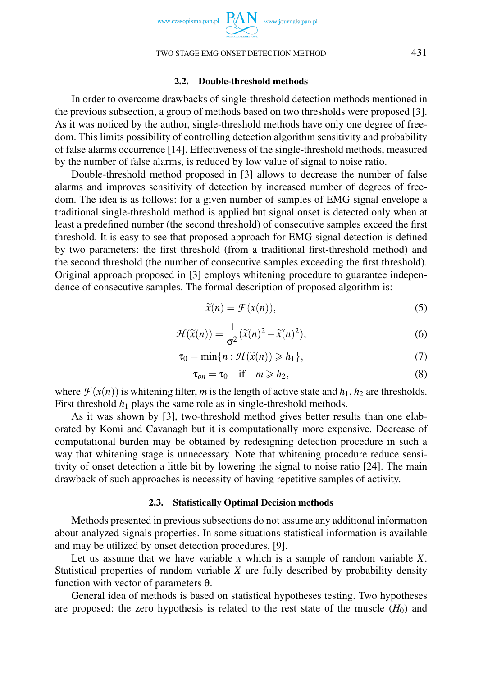

### 2.2. Double-threshold methods

In order to overcome drawbacks of single-threshold detection methods mentioned in the previous subsection, a group of methods based on two thresholds were proposed [3]. As it was noticed by the author, single-threshold methods have only one degree of freedom. This limits possibility of controlling detection algorithm sensitivity and probability of false alarms occurrence [14]. Effectiveness of the single-threshold methods, measured by the number of false alarms, is reduced by low value of signal to noise ratio.

Double-threshold method proposed in [3] allows to decrease the number of false alarms and improves sensitivity of detection by increased number of degrees of freedom. The idea is as follows: for a given number of samples of EMG signal envelope a traditional single-threshold method is applied but signal onset is detected only when at least a predefined number (the second threshold) of consecutive samples exceed the first threshold. It is easy to see that proposed approach for EMG signal detection is defined by two parameters: the first threshold (from a traditional first-threshold method) and the second threshold (the number of consecutive samples exceeding the first threshold). Original approach proposed in [3] employs whitening procedure to guarantee independence of consecutive samples. The formal description of proposed algorithm is:

$$
\widetilde{x}(n) = \mathcal{F}(x(n)),\tag{5}
$$

$$
\mathcal{H}(\widetilde{x}(n)) = \frac{1}{\sigma^2} (\widetilde{x}(n)^2 - \widetilde{x}(n)^2),\tag{6}
$$

$$
\tau_0 = \min\{n : \mathcal{H}(\widetilde{x}(n)) \geqslant h_1\},\tag{7}
$$

$$
\tau_{on} = \tau_0 \quad \text{if} \quad m \geqslant h_2,\tag{8}
$$

where  $\mathcal{F}(x(n))$  is whitening filter, *m* is the length of active state and  $h_1$ ,  $h_2$  are thresholds. First threshold  $h_1$  plays the same role as in single-threshold methods.

As it was shown by [3], two-threshold method gives better results than one elaborated by Komi and Cavanagh but it is computationally more expensive. Decrease of computational burden may be obtained by redesigning detection procedure in such a way that whitening stage is unnecessary. Note that whitening procedure reduce sensitivity of onset detection a little bit by lowering the signal to noise ratio [24]. The main drawback of such approaches is necessity of having repetitive samples of activity.

#### 2.3. Statistically Optimal Decision methods

Methods presented in previous subsections do not assume any additional information about analyzed signals properties. In some situations statistical information is available and may be utilized by onset detection procedures, [9].

Let us assume that we have variable *x* which is a sample of random variable *X*. Statistical properties of random variable *X* are fully described by probability density function with vector of parameters θ.

General idea of methods is based on statistical hypotheses testing. Two hypotheses are proposed: the zero hypothesis is related to the rest state of the muscle  $(H_0)$  and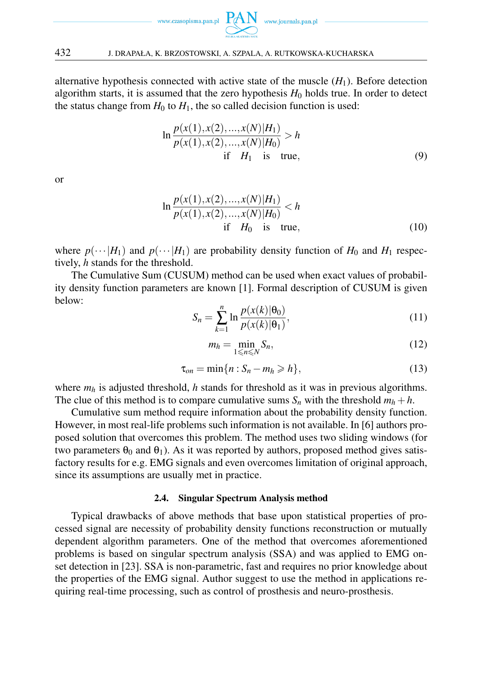

alternative hypothesis connected with active state of the muscle  $(H_1)$ . Before detection algorithm starts, it is assumed that the zero hypothesis  $H_0$  holds true. In order to detect the status change from  $H_0$  to  $H_1$ , the so called decision function is used:

$$
\ln \frac{p(x(1), x(2), ..., x(N)|H_1)}{p(x(1), x(2), ..., x(N)|H_0)} > h
$$
  
if  $H_1$  is true, (9)

or

$$
\ln \frac{p(x(1), x(2), ..., x(N)|H_1)}{p(x(1), x(2), ..., x(N)|H_0)} < h
$$
  
if  $H_0$  is true, (10)

where  $p(\cdots|H_1)$  and  $p(\cdots|H_1)$  are probability density function of  $H_0$  and  $H_1$  respectively, *h* stands for the threshold.

The Cumulative Sum (CUSUM) method can be used when exact values of probability density function parameters are known [1]. Formal description of CUSUM is given below:

$$
S_n = \sum_{k=1}^n \ln \frac{p(x(k)|\theta_0)}{p(x(k)|\theta_1)},
$$
\n(11)

$$
m_h = \min_{1 \leq n \leq N} S_n,\tag{12}
$$

$$
\tau_{on} = \min\{n : S_n - m_h \geqslant h\},\tag{13}
$$

where  $m_h$  is adjusted threshold, *h* stands for threshold as it was in previous algorithms. The clue of this method is to compare cumulative sums  $S_n$  with the threshold  $m_h + h$ .

Cumulative sum method require information about the probability density function. However, in most real-life problems such information is not available. In [6] authors proposed solution that overcomes this problem. The method uses two sliding windows (for two parameters  $\theta_0$  and  $\theta_1$ ). As it was reported by authors, proposed method gives satisfactory results for e.g. EMG signals and even overcomes limitation of original approach, since its assumptions are usually met in practice.

### 2.4. Singular Spectrum Analysis method

Typical drawbacks of above methods that base upon statistical properties of processed signal are necessity of probability density functions reconstruction or mutually dependent algorithm parameters. One of the method that overcomes aforementioned problems is based on singular spectrum analysis (SSA) and was applied to EMG onset detection in [23]. SSA is non-parametric, fast and requires no prior knowledge about the properties of the EMG signal. Author suggest to use the method in applications requiring real-time processing, such as control of prosthesis and neuro-prosthesis.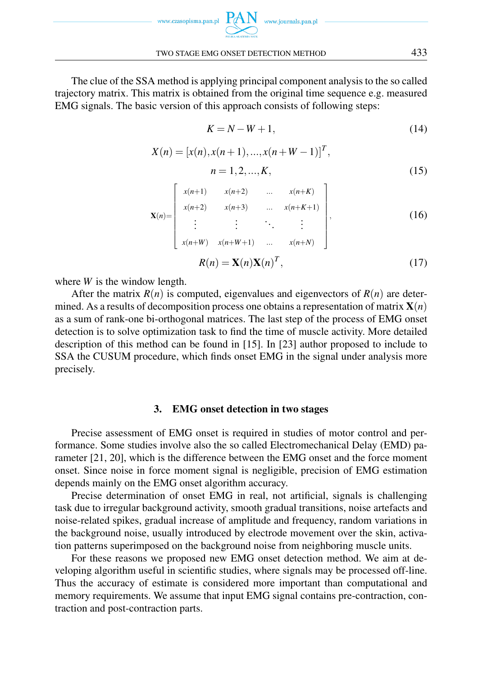

TWO STAGE EMG ONSET DETECTION METHOD 433

The clue of the SSA method is applying principal component analysis to the so called trajectory matrix. This matrix is obtained from the original time sequence e.g. measured EMG signals. The basic version of this approach consists of following steps:

$$
K = N - W + 1,\tag{14}
$$

$$
X(n) = [x(n), x(n+1), ..., x(n+W-1)]T,
$$
  
\n
$$
n = 1, 2, ..., K,
$$
\n(15)

$$
\mathbf{X}(n) = \begin{bmatrix} x(n+1) & x(n+2) & \dots & x(n+K) \\ x(n+2) & x(n+3) & \dots & x(n+K+1) \\ \vdots & \vdots & \ddots & \vdots \\ x(n+W) & x(n+W+1) & \dots & x(n+N) \end{bmatrix},
$$
 (16)

$$
R(n) = \mathbf{X}(n)\mathbf{X}(n)^T,\tag{17}
$$

where *W* is the window length.

After the matrix  $R(n)$  is computed, eigenvalues and eigenvectors of  $R(n)$  are determined. As a results of decomposition process one obtains a representation of matrix  $\mathbf{X}(n)$ as a sum of rank-one bi-orthogonal matrices. The last step of the process of EMG onset detection is to solve optimization task to find the time of muscle activity. More detailed description of this method can be found in [15]. In [23] author proposed to include to SSA the CUSUM procedure, which finds onset EMG in the signal under analysis more precisely.

# 3. EMG onset detection in two stages

Precise assessment of EMG onset is required in studies of motor control and performance. Some studies involve also the so called Electromechanical Delay (EMD) parameter [21, 20], which is the difference between the EMG onset and the force moment onset. Since noise in force moment signal is negligible, precision of EMG estimation depends mainly on the EMG onset algorithm accuracy.

Precise determination of onset EMG in real, not artificial, signals is challenging task due to irregular background activity, smooth gradual transitions, noise artefacts and noise-related spikes, gradual increase of amplitude and frequency, random variations in the background noise, usually introduced by electrode movement over the skin, activation patterns superimposed on the background noise from neighboring muscle units.

For these reasons we proposed new EMG onset detection method. We aim at developing algorithm useful in scientific studies, where signals may be processed off-line. Thus the accuracy of estimate is considered more important than computational and memory requirements. We assume that input EMG signal contains pre-contraction, contraction and post-contraction parts.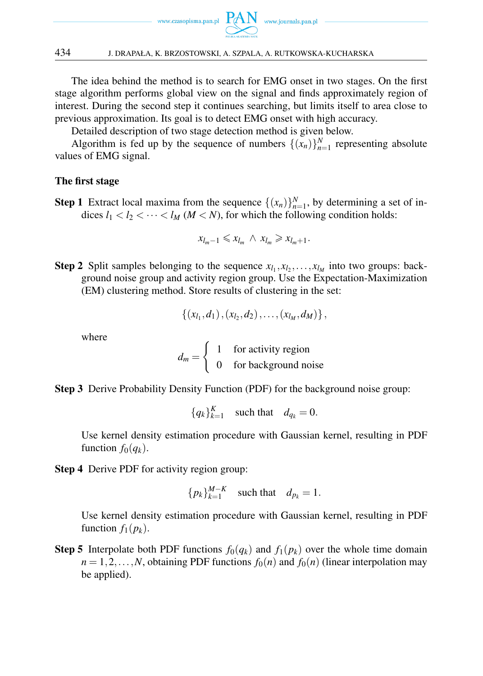

# 434 J. DRAPAŁA, K. BRZOSTOWSKI, A. SZPALA, A. RUTKOWSKA-KUCHARSKA

The idea behind the method is to search for EMG onset in two stages. On the first stage algorithm performs global view on the signal and finds approximately region of interest. During the second step it continues searching, but limits itself to area close to previous approximation. Its goal is to detect EMG onset with high accuracy.

Detailed description of two stage detection method is given below.

Algorithm is fed up by the sequence of numbers  $\{(x_n)\}_{n=1}^N$  representing absolute values of EMG signal.

# The first stage

**Step 1** Extract local maxima from the sequence  $\{(x_n)\}_{n=1}^N$ , by determining a set of indices  $l_1 < l_2 < \cdots < l_M$  ( $M < N$ ), for which the following condition holds:

$$
x_{l_m-1} \leq x_{l_m} \wedge x_{l_m} \geq x_{l_m+1}.
$$

**Step 2** Split samples belonging to the sequence  $x_{l_1}, x_{l_2}, \ldots, x_{l_M}$  into two groups: background noise group and activity region group. Use the Expectation-Maximization (EM) clustering method. Store results of clustering in the set:

$$
\{(x_{l_1},d_1), (x_{l_2},d_2), \ldots, (x_{l_M},d_M)\}\,
$$

where

$$
d_m = \begin{cases} 1 & \text{for activity region} \\ 0 & \text{for background noise} \end{cases}
$$

Step 3 Derive Probability Density Function (PDF) for the background noise group:

 ${q_k}_{k=1}^K$  such that  $d_{q_k} = 0$ .

Use kernel density estimation procedure with Gaussian kernel, resulting in PDF function  $f_0(q_k)$ .

Step 4 Derive PDF for activity region group:

 ${p_k}_{k=1}^{M-K}$  such that  $d_{p_k} = 1$ .

Use kernel density estimation procedure with Gaussian kernel, resulting in PDF function  $f_1(p_k)$ .

**Step 5** Interpolate both PDF functions  $f_0(q_k)$  and  $f_1(p_k)$  over the whole time domain  $n = 1, 2, \ldots, N$ , obtaining PDF functions  $f_0(n)$  and  $f_0(n)$  (linear interpolation may be applied).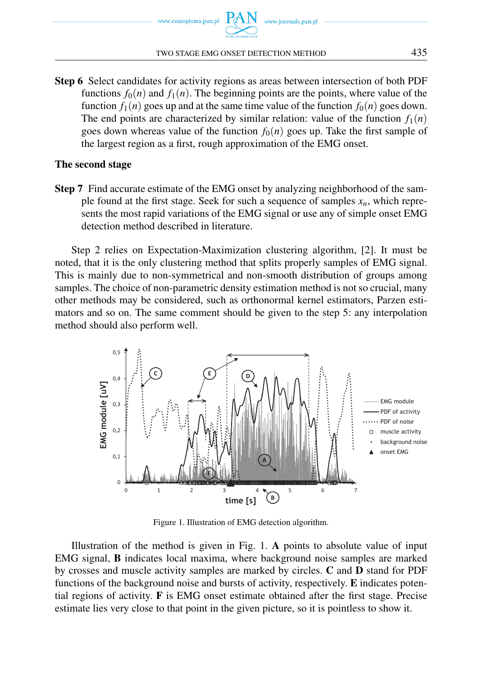

#### TWO STAGE EMG ONSET DETECTION METHOD 435

Step 6 Select candidates for activity regions as areas between intersection of both PDF functions  $f_0(n)$  and  $f_1(n)$ . The beginning points are the points, where value of the function  $f_1(n)$  goes up and at the same time value of the function  $f_0(n)$  goes down. The end points are characterized by similar relation: value of the function  $f_1(n)$ goes down whereas value of the function  $f_0(n)$  goes up. Take the first sample of the largest region as a first, rough approximation of the EMG onset.

# The second stage

Step 7 Find accurate estimate of the EMG onset by analyzing neighborhood of the sample found at the first stage. Seek for such a sequence of samples *xn*, which represents the most rapid variations of the EMG signal or use any of simple onset EMG detection method described in literature.

Step 2 relies on Expectation-Maximization clustering algorithm, [2]. It must be noted, that it is the only clustering method that splits properly samples of EMG signal. This is mainly due to non-symmetrical and non-smooth distribution of groups among samples. The choice of non-parametric density estimation method is not so crucial, many other methods may be considered, such as orthonormal kernel estimators, Parzen estimators and so on. The same comment should be given to the step 5: any interpolation method should also perform well.



Figure 1. Illustration of EMG detection algorithm.

Illustration of the method is given in Fig. 1. A points to absolute value of input EMG signal, B indicates local maxima, where background noise samples are marked by crosses and muscle activity samples are marked by circles. C and D stand for PDF functions of the background noise and bursts of activity, respectively. E indicates potential regions of activity. F is EMG onset estimate obtained after the first stage. Precise estimate lies very close to that point in the given picture, so it is pointless to show it.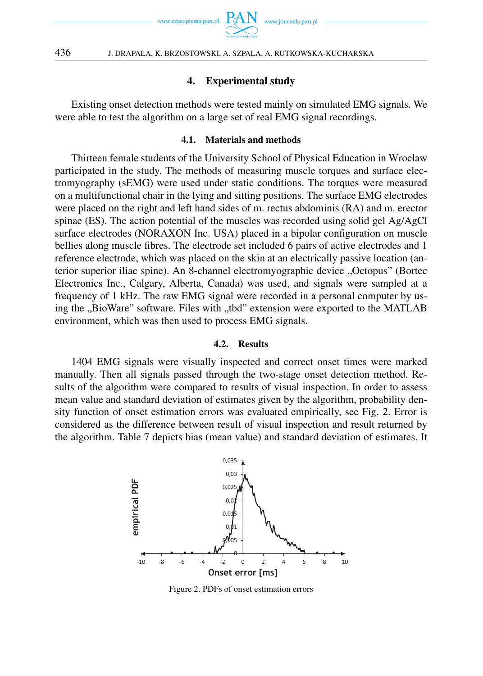

# 4. Experimental study

Existing onset detection methods were tested mainly on simulated EMG signals. We were able to test the algorithm on a large set of real EMG signal recordings.

### 4.1. Materials and methods

Thirteen female students of the University School of Physical Education in Wrocław participated in the study. The methods of measuring muscle torques and surface electromyography (sEMG) were used under static conditions. The torques were measured on a multifunctional chair in the lying and sitting positions. The surface EMG electrodes were placed on the right and left hand sides of m. rectus abdominis (RA) and m. erector spinae (ES). The action potential of the muscles was recorded using solid gel Ag/AgCl surface electrodes (NORAXON Inc. USA) placed in a bipolar configuration on muscle bellies along muscle fibres. The electrode set included 6 pairs of active electrodes and 1 reference electrode, which was placed on the skin at an electrically passive location (anterior superior iliac spine). An 8-channel electromyographic device "Octopus" (Bortec Electronics Inc., Calgary, Alberta, Canada) was used, and signals were sampled at a frequency of 1 kHz. The raw EMG signal were recorded in a personal computer by using the "BioWare" software. Files with "tod" extension were exported to the MATLAB environment, which was then used to process EMG signals.

#### 4.2. Results

1404 EMG signals were visually inspected and correct onset times were marked manually. Then all signals passed through the two-stage onset detection method. Results of the algorithm were compared to results of visual inspection. In order to assess mean value and standard deviation of estimates given by the algorithm, probability density function of onset estimation errors was evaluated empirically, see Fig. 2. Error is considered as the difference between result of visual inspection and result returned by the algorithm. Table 7 depicts bias (mean value) and standard deviation of estimates. It



Figure 2. PDFs of onset estimation errors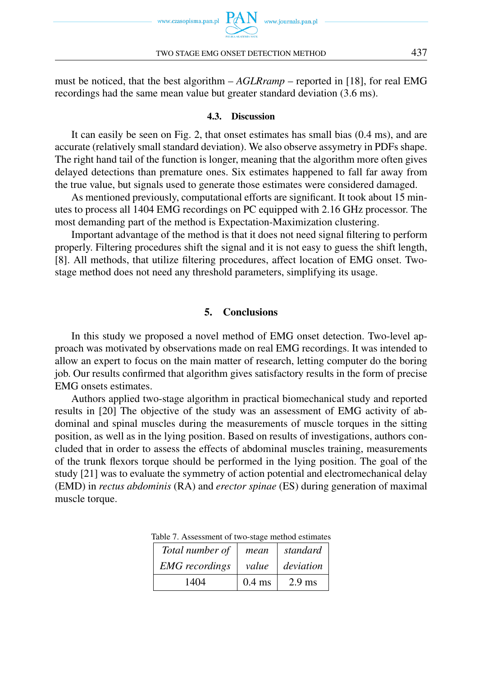

must be noticed, that the best algorithm – *AGLRramp* – reported in [18], for real EMG recordings had the same mean value but greater standard deviation (3.6 ms).

### 4.3. Discussion

It can easily be seen on Fig. 2, that onset estimates has small bias (0.4 ms), and are accurate (relatively small standard deviation). We also observe assymetry in PDFs shape. The right hand tail of the function is longer, meaning that the algorithm more often gives delayed detections than premature ones. Six estimates happened to fall far away from the true value, but signals used to generate those estimates were considered damaged.

As mentioned previously, computational efforts are significant. It took about 15 minutes to process all 1404 EMG recordings on PC equipped with 2.16 GHz processor. The most demanding part of the method is Expectation-Maximization clustering.

Important advantage of the method is that it does not need signal filtering to perform properly. Filtering procedures shift the signal and it is not easy to guess the shift length, [8]. All methods, that utilize filtering procedures, affect location of EMG onset. Twostage method does not need any threshold parameters, simplifying its usage.

# 5. Conclusions

In this study we proposed a novel method of EMG onset detection. Two-level approach was motivated by observations made on real EMG recordings. It was intended to allow an expert to focus on the main matter of research, letting computer do the boring job. Our results confirmed that algorithm gives satisfactory results in the form of precise EMG onsets estimates.

Authors applied two-stage algorithm in practical biomechanical study and reported results in [20] The objective of the study was an assessment of EMG activity of abdominal and spinal muscles during the measurements of muscle torques in the sitting position, as well as in the lying position. Based on results of investigations, authors concluded that in order to assess the effects of abdominal muscles training, measurements of the trunk flexors torque should be performed in the lying position. The goal of the study [21] was to evaluate the symmetry of action potential and electromechanical delay (EMD) in *rectus abdominis* (RA) and *erector spinae* (ES) during generation of maximal muscle torque.

| Total number of       | mean     | standard  |
|-----------------------|----------|-----------|
| <b>EMG</b> recordings | value    | deviation |
| 1404                  | $0.4$ ms | $2.9$ ms  |

Table 7. Assessment of two-stage method estimates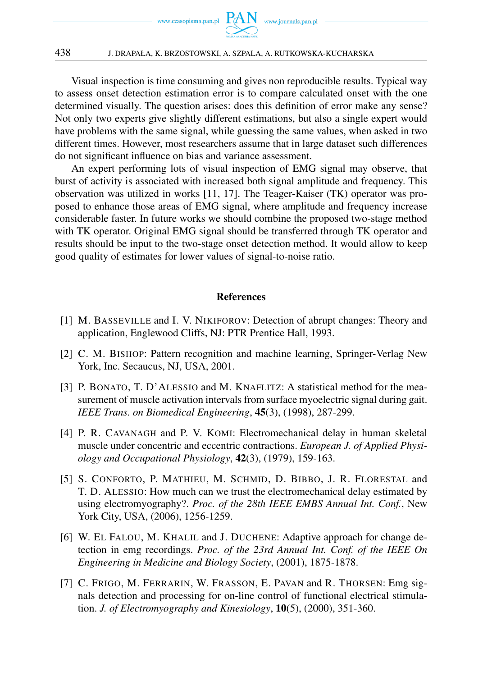

Visual inspection is time consuming and gives non reproducible results. Typical way to assess onset detection estimation error is to compare calculated onset with the one determined visually. The question arises: does this definition of error make any sense? Not only two experts give slightly different estimations, but also a single expert would have problems with the same signal, while guessing the same values, when asked in two different times. However, most researchers assume that in large dataset such differences do not significant influence on bias and variance assessment.

An expert performing lots of visual inspection of EMG signal may observe, that burst of activity is associated with increased both signal amplitude and frequency. This observation was utilized in works [11, 17]. The Teager-Kaiser (TK) operator was proposed to enhance those areas of EMG signal, where amplitude and frequency increase considerable faster. In future works we should combine the proposed two-stage method with TK operator. Original EMG signal should be transferred through TK operator and results should be input to the two-stage onset detection method. It would allow to keep good quality of estimates for lower values of signal-to-noise ratio.

# References

- [1] M. BASSEVILLE and I. V. NIKIFOROV: Detection of abrupt changes: Theory and application, Englewood Cliffs, NJ: PTR Prentice Hall, 1993.
- [2] C. M. BISHOP: Pattern recognition and machine learning, Springer-Verlag New York, Inc. Secaucus, NJ, USA, 2001.
- [3] P. BONATO, T. D'ALESSIO and M. KNAFLITZ: A statistical method for the measurement of muscle activation intervals from surface myoelectric signal during gait. *IEEE Trans. on Biomedical Engineering*, 45(3), (1998), 287-299.
- [4] P. R. CAVANAGH and P. V. KOMI: Electromechanical delay in human skeletal muscle under concentric and eccentric contractions. *European J. of Applied Physiology and Occupational Physiology*, 42(3), (1979), 159-163.
- [5] S. CONFORTO, P. MATHIEU, M. SCHMID, D. BIBBO, J. R. FLORESTAL and T. D. ALESSIO: How much can we trust the electromechanical delay estimated by using electromyography?. *Proc. of the 28th IEEE EMBS Annual Int. Conf.*, New York City, USA, (2006), 1256-1259.
- [6] W. EL FALOU, M. KHALIL and J. DUCHENE: Adaptive approach for change detection in emg recordings. *Proc. of the 23rd Annual Int. Conf. of the IEEE On Engineering in Medicine and Biology Society*, (2001), 1875-1878.
- [7] C. FRIGO, M. FERRARIN, W. FRASSON, E. PAVAN and R. THORSEN: Emg signals detection and processing for on-line control of functional electrical stimulation. *J. of Electromyography and Kinesiology*, 10(5), (2000), 351-360.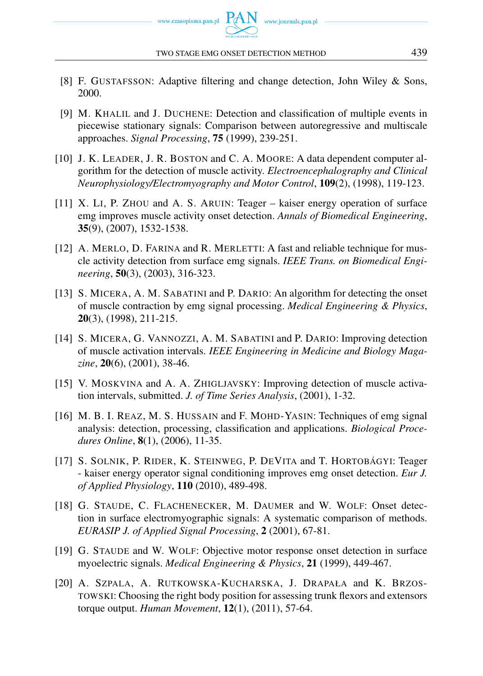- [8] F. GUSTAFSSON: Adaptive filtering and change detection, John Wiley & Sons, 2000.
- [9] M. KHALIL and J. DUCHENE: Detection and classification of multiple events in piecewise stationary signals: Comparison between autoregressive and multiscale approaches. *Signal Processing*, 75 (1999), 239-251.
- [10] J. K. LEADER, J. R. BOSTON and C. A. MOORE: A data dependent computer algorithm for the detection of muscle activity. *Electroencephalography and Clinical Neurophysiology/Electromyography and Motor Control*, 109(2), (1998), 119-123.
- [11] X. LI, P. ZHOU and A. S. ARUIN: Teager kaiser energy operation of surface emg improves muscle activity onset detection. *Annals of Biomedical Engineering*, 35(9), (2007), 1532-1538.
- [12] A. MERLO, D. FARINA and R. MERLETTI: A fast and reliable technique for muscle activity detection from surface emg signals. *IEEE Trans. on Biomedical Engineering*, 50(3), (2003), 316-323.
- [13] S. MICERA, A. M. SABATINI and P. DARIO: An algorithm for detecting the onset of muscle contraction by emg signal processing. *Medical Engineering & Physics*, 20(3), (1998), 211-215.
- [14] S. MICERA, G. VANNOZZI, A. M. SABATINI and P. DARIO: Improving detection of muscle activation intervals. *IEEE Engineering in Medicine and Biology Magazine*, 20(6), (2001), 38-46.
- [15] V. MOSKVINA and A. A. ZHIGLJAVSKY: Improving detection of muscle activation intervals, submitted. *J. of Time Series Analysis*, (2001), 1-32.
- [16] M. B. I. REAZ, M. S. HUSSAIN and F. MOHD-YASIN: Techniques of emg signal analysis: detection, processing, classification and applications. *Biological Procedures Online*, 8(1), (2006), 11-35.
- [17] S. SOLNIK, P. RIDER, K. STEINWEG, P. DEVITA and T. HORTOBÁGYI: Teager - kaiser energy operator signal conditioning improves emg onset detection. *Eur J. of Applied Physiology*, 110 (2010), 489-498.
- [18] G. STAUDE, C. FLACHENECKER, M. DAUMER and W. WOLF: Onset detection in surface electromyographic signals: A systematic comparison of methods. *EURASIP J. of Applied Signal Processing*, 2 (2001), 67-81.
- [19] G. STAUDE and W. WOLF: Objective motor response onset detection in surface myoelectric signals. *Medical Engineering & Physics*, 21 (1999), 449-467.
- [20] A. SZPALA, A. RUTKOWSKA-KUCHARSKA, J. DRAPAŁA and K. BRZOS-TOWSKI: Choosing the right body position for assessing trunk flexors and extensors torque output. *Human Movement*, 12(1), (2011), 57-64.